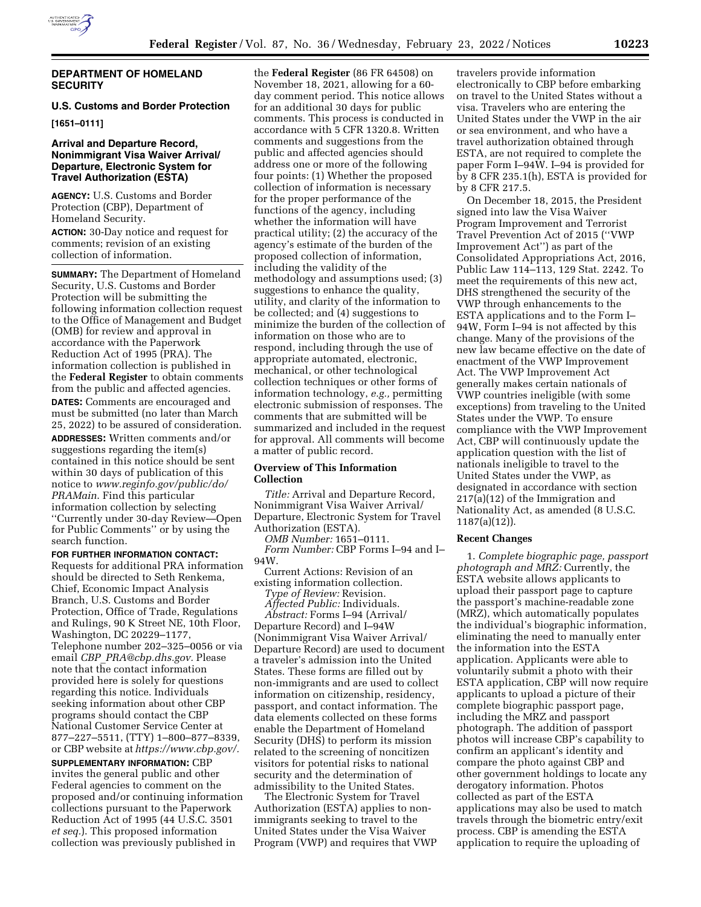

#### **DEPARTMENT OF HOMELAND SECURITY**

# **U.S. Customs and Border Protection**

**[1651–0111]** 

## **Arrival and Departure Record, Nonimmigrant Visa Waiver Arrival/ Departure, Electronic System for Travel Authorization (ESTA)**

**AGENCY:** U.S. Customs and Border Protection (CBP), Department of Homeland Security.

**ACTION:** 30-Day notice and request for comments; revision of an existing collection of information.

**SUMMARY:** The Department of Homeland Security, U.S. Customs and Border Protection will be submitting the following information collection request to the Office of Management and Budget (OMB) for review and approval in accordance with the Paperwork Reduction Act of 1995 (PRA). The information collection is published in the **Federal Register** to obtain comments from the public and affected agencies. **DATES:** Comments are encouraged and must be submitted (no later than March 25, 2022) to be assured of consideration. **ADDRESSES:** Written comments and/or suggestions regarding the item(s) contained in this notice should be sent within 30 days of publication of this notice to *[www.reginfo.gov/public/do/](http://www.reginfo.gov/public/do/PRAMain) [PRAMain](http://www.reginfo.gov/public/do/PRAMain)*. Find this particular information collection by selecting ''Currently under 30-day Review—Open for Public Comments'' or by using the search function.

**FOR FURTHER INFORMATION CONTACT:**  Requests for additional PRA information should be directed to Seth Renkema, Chief, Economic Impact Analysis Branch, U.S. Customs and Border Protection, Office of Trade, Regulations and Rulings, 90 K Street NE, 10th Floor, Washington, DC 20229–1177, Telephone number 202–325–0056 or via email *CBP*\_*[PRA@cbp.dhs.gov.](mailto:CBP_PRA@cbp.dhs.gov)* Please note that the contact information provided here is solely for questions regarding this notice. Individuals seeking information about other CBP programs should contact the CBP National Customer Service Center at 877–227–5511, (TTY) 1–800–877–8339, or CBP website at *[https://www.cbp.gov/.](https://www.cbp.gov/)* 

**SUPPLEMENTARY INFORMATION:** CBP invites the general public and other Federal agencies to comment on the proposed and/or continuing information collections pursuant to the Paperwork Reduction Act of 1995 (44 U.S.C. 3501 *et seq.*). This proposed information collection was previously published in

the **Federal Register** (86 FR 64508) on November 18, 2021, allowing for a 60 day comment period. This notice allows for an additional 30 days for public comments. This process is conducted in accordance with 5 CFR 1320.8. Written comments and suggestions from the public and affected agencies should address one or more of the following four points: (1) Whether the proposed collection of information is necessary for the proper performance of the functions of the agency, including whether the information will have practical utility; (2) the accuracy of the agency's estimate of the burden of the proposed collection of information, including the validity of the methodology and assumptions used; (3) suggestions to enhance the quality, utility, and clarity of the information to be collected; and (4) suggestions to minimize the burden of the collection of information on those who are to respond, including through the use of appropriate automated, electronic, mechanical, or other technological collection techniques or other forms of information technology, *e.g.,* permitting electronic submission of responses. The comments that are submitted will be summarized and included in the request for approval. All comments will become a matter of public record.

### **Overview of This Information Collection**

*Title:* Arrival and Departure Record, Nonimmigrant Visa Waiver Arrival/ Departure, Electronic System for Travel Authorization (ESTA).

*OMB Number:* 1651–0111.

*Form Number:* CBP Forms I–94 and I– 94W.

Current Actions: Revision of an existing information collection.

*Type of Review:* Revision.

*Affected Public:* Individuals.

*Abstract:* Forms I–94 (Arrival/ Departure Record) and I–94W (Nonimmigrant Visa Waiver Arrival/ Departure Record) are used to document a traveler's admission into the United States. These forms are filled out by non-immigrants and are used to collect information on citizenship, residency, passport, and contact information. The data elements collected on these forms enable the Department of Homeland Security (DHS) to perform its mission related to the screening of noncitizen visitors for potential risks to national security and the determination of admissibility to the United States.

The Electronic System for Travel Authorization (ESTA) applies to nonimmigrants seeking to travel to the United States under the Visa Waiver Program (VWP) and requires that VWP

travelers provide information electronically to CBP before embarking on travel to the United States without a visa. Travelers who are entering the United States under the VWP in the air or sea environment, and who have a travel authorization obtained through ESTA, are not required to complete the paper Form I–94W. I–94 is provided for by 8 CFR 235.1(h), ESTA is provided for by 8 CFR 217.5.

On December 18, 2015, the President signed into law the Visa Waiver Program Improvement and Terrorist Travel Prevention Act of 2015 (''VWP Improvement Act'') as part of the Consolidated Appropriations Act, 2016, Public Law 114–113, 129 Stat. 2242. To meet the requirements of this new act, DHS strengthened the security of the VWP through enhancements to the ESTA applications and to the Form I– 94W, Form I–94 is not affected by this change. Many of the provisions of the new law became effective on the date of enactment of the VWP Improvement Act. The VWP Improvement Act generally makes certain nationals of VWP countries ineligible (with some exceptions) from traveling to the United States under the VWP. To ensure compliance with the VWP Improvement Act, CBP will continuously update the application question with the list of nationals ineligible to travel to the United States under the VWP, as designated in accordance with section 217(a)(12) of the Immigration and Nationality Act, as amended (8 U.S.C. 1187(a)(12)).

### **Recent Changes**

1. *Complete biographic page, passport photograph and MRZ:* Currently, the ESTA website allows applicants to upload their passport page to capture the passport's machine-readable zone (MRZ), which automatically populates the individual's biographic information, eliminating the need to manually enter the information into the ESTA application. Applicants were able to voluntarily submit a photo with their ESTA application, CBP will now require applicants to upload a picture of their complete biographic passport page, including the MRZ and passport photograph. The addition of passport photos will increase CBP's capability to confirm an applicant's identity and compare the photo against CBP and other government holdings to locate any derogatory information. Photos collected as part of the ESTA applications may also be used to match travels through the biometric entry/exit process. CBP is amending the ESTA application to require the uploading of